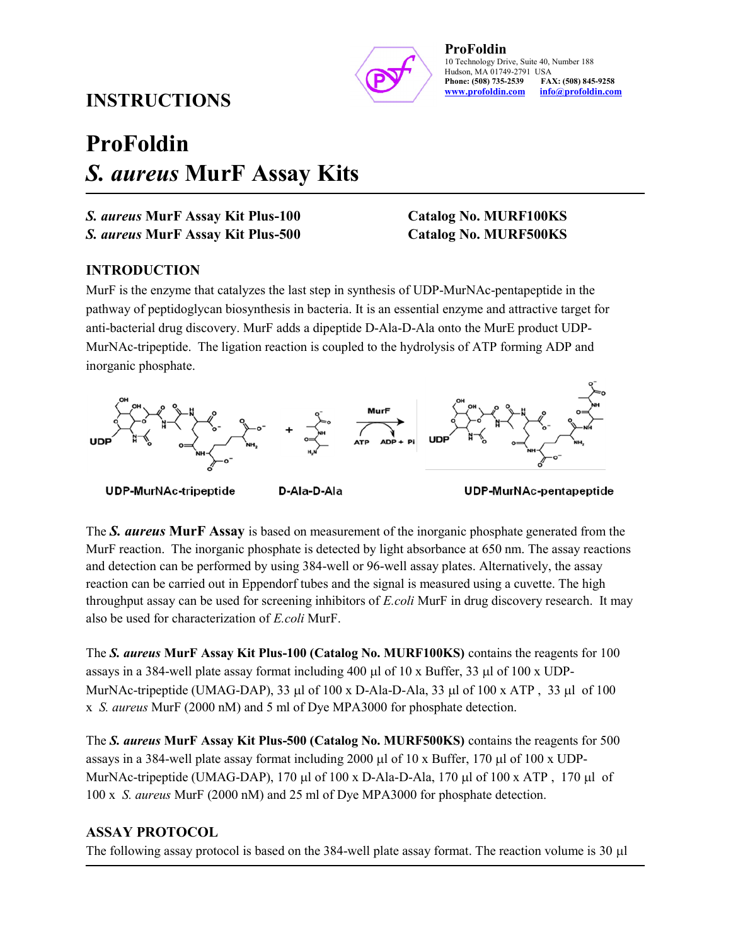

#### ProFoldin 10 Technology Drive, Suite 40, Number 188 Hudson, MA 01749-2791 USA<br>**Phone: (508) 735-2539 FAX: (508) 845-9258** Phone: (508) 735-2539 www.profoldin.com info@profoldin.com

## INSTRUCTIONS

# ProFoldin S. aureus MurF Assay Kits

S. aureus MurF Assay Kit Plus-100 Catalog No. MURF100KS

S. aureus MurF Assay Kit Plus-500 Catalog No. MURF500KS

#### INTRODUCTION

MurF is the enzyme that catalyzes the last step in synthesis of UDP-MurNAc-pentapeptide in the pathway of peptidoglycan biosynthesis in bacteria. It is an essential enzyme and attractive target for anti-bacterial drug discovery. MurF adds a dipeptide D-Ala-D-Ala onto the MurE product UDP-MurNAc-tripeptide. The ligation reaction is coupled to the hydrolysis of ATP forming ADP and inorganic phosphate.



**UDP-MurNAc-tripeptide** 

D-Ala-D-Ala

UDP-MurNAc-pentapeptide

The S. aureus MurF Assay is based on measurement of the inorganic phosphate generated from the MurF reaction. The inorganic phosphate is detected by light absorbance at 650 nm. The assay reactions and detection can be performed by using 384-well or 96-well assay plates. Alternatively, the assay reaction can be carried out in Eppendorf tubes and the signal is measured using a cuvette. The high throughput assay can be used for screening inhibitors of E.coli MurF in drug discovery research. It may also be used for characterization of E.coli MurF.

The S. aureus MurF Assay Kit Plus-100 (Catalog No. MURF100KS) contains the reagents for 100 assays in a 384-well plate assay format including 400  $\mu$ l of 10 x Buffer, 33  $\mu$ l of 100 x UDP-MurNAc-tripeptide (UMAG-DAP), 33  $\mu$ l of 100 x D-Ala-D-Ala, 33  $\mu$ l of 100 x ATP, 33  $\mu$ l of 100 x S. aureus MurF (2000 nM) and 5 ml of Dye MPA3000 for phosphate detection.

The S. aureus MurF Assay Kit Plus-500 (Catalog No. MURF500KS) contains the reagents for 500 assays in a 384-well plate assay format including 2000  $\mu$ l of 10 x Buffer, 170  $\mu$ l of 100 x UDP-MurNAc-tripeptide (UMAG-DAP), 170  $\mu$ l of 100 x D-Ala-D-Ala, 170  $\mu$ l of 100 x ATP, 170  $\mu$ l of 100 x S. aureus MurF (2000 nM) and 25 ml of Dye MPA3000 for phosphate detection.

#### ASSAY PROTOCOL

The following assay protocol is based on the 384-well plate assay format. The reaction volume is 30  $\mu$ l